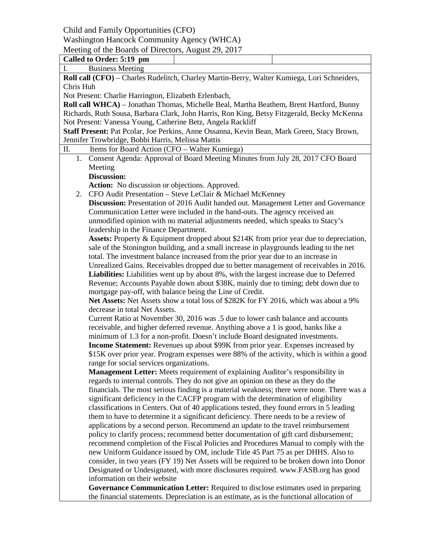Child and Family Opportunities (CFO)

Washington Hancock Community Agency (WHCA)

Meeting of the Boards of Directors, August 29, 2017

| Called to Order: 5:19 pm                                                                    |                                                                                           |  |  |  |
|---------------------------------------------------------------------------------------------|-------------------------------------------------------------------------------------------|--|--|--|
| <b>Business Meeting</b><br>I.                                                               |                                                                                           |  |  |  |
| Roll call (CFO) - Charles Rudelitch, Charley Martin-Berry, Walter Kumiega, Lori Schneiders, |                                                                                           |  |  |  |
| Chris Huh                                                                                   |                                                                                           |  |  |  |
| Not Present: Charlie Harrington, Elizabeth Erlenbach,                                       |                                                                                           |  |  |  |
| Roll call WHCA) - Jonathan Thomas, Michelle Beal, Martha Beathem, Brent Hartford, Bunny     |                                                                                           |  |  |  |
| Richards, Ruth Sousa, Barbara Clark, John Harris, Ron King, Betsy Fitzgerald, Becky McKenna |                                                                                           |  |  |  |
| Not Present: Vanessa Young, Catherine Betz, Angela Rackliff                                 |                                                                                           |  |  |  |
| Staff Present: Pat Pcolar, Joe Perkins, Anne Ossanna, Kevin Bean, Mark Green, Stacy Brown,  |                                                                                           |  |  |  |
| Jennifer Trowbridge, Bobbi Harris, Melissa Mattis                                           |                                                                                           |  |  |  |
| Π.<br>Items for Board Action (CFO - Walter Kumiega)                                         |                                                                                           |  |  |  |
| 1. Consent Agenda: Approval of Board Meeting Minutes from July 28, 2017 CFO Board           |                                                                                           |  |  |  |
| Meeting                                                                                     |                                                                                           |  |  |  |
| <b>Discussion:</b>                                                                          |                                                                                           |  |  |  |
| <b>Action:</b> No discussion or objections. Approved.                                       |                                                                                           |  |  |  |
| 2. CFO Audit Presentation - Steve LeClair & Michael McKenney                                |                                                                                           |  |  |  |
| Discussion: Presentation of 2016 Audit handed out. Management Letter and Governance         |                                                                                           |  |  |  |
| Communication Letter were included in the hand-outs. The agency received an                 |                                                                                           |  |  |  |
| unmodified opinion with no material adjustments needed, which speaks to Stacy's             |                                                                                           |  |  |  |
| leadership in the Finance Department.                                                       |                                                                                           |  |  |  |
| Assets: Property & Equipment dropped about \$214K from prior year due to depreciation,      |                                                                                           |  |  |  |
| sale of the Stonington building, and a small increase in playgrounds leading to the net     |                                                                                           |  |  |  |
| total. The investment balance increased from the prior year due to an increase in           |                                                                                           |  |  |  |
| Unrealized Gains. Receivables dropped due to better management of receivables in 2016.      |                                                                                           |  |  |  |
|                                                                                             | Liabilities: Liabilities went up by about 8%, with the largest increase due to Deferred   |  |  |  |
| Revenue; Accounts Payable down about \$38K, mainly due to timing; debt down due to          |                                                                                           |  |  |  |
| mortgage pay-off, with balance being the Line of Credit.                                    |                                                                                           |  |  |  |
| Net Assets: Net Assets show a total loss of \$282K for FY 2016, which was about a 9%        |                                                                                           |  |  |  |
| decrease in total Net Assets.                                                               |                                                                                           |  |  |  |
| Current Ratio at November 30, 2016 was .5 due to lower cash balance and accounts            |                                                                                           |  |  |  |
| receivable, and higher deferred revenue. Anything above a 1 is good, banks like a           |                                                                                           |  |  |  |
| minimum of 1.3 for a non-profit. Doesn't include Board designated investments.              |                                                                                           |  |  |  |
| <b>Income Statement:</b> Revenues up about \$99K from prior year. Expenses increased by     |                                                                                           |  |  |  |
| \$15K over prior year. Program expenses were 88% of the activity, which is within a good    |                                                                                           |  |  |  |
| range for social services organizations.                                                    |                                                                                           |  |  |  |
| Management Letter: Meets requirement of explaining Auditor's responsibility in              |                                                                                           |  |  |  |
| regards to internal controls. They do not give an opinion on these as they do the           |                                                                                           |  |  |  |
| financials. The most serious finding is a material weakness; there were none. There was a   |                                                                                           |  |  |  |
| significant deficiency in the CACFP program with the determination of eligibility           |                                                                                           |  |  |  |
| classifications in Centers. Out of 40 applications tested, they found errors in 5 leading   |                                                                                           |  |  |  |
| them to have to determine it a significant deficiency. There needs to be a review of        |                                                                                           |  |  |  |
| applications by a second person. Recommend an update to the travel reimbursement            |                                                                                           |  |  |  |
| policy to clarify process; recommend better documentation of gift card disbursement;        |                                                                                           |  |  |  |
| recommend completion of the Fiscal Policies and Procedures Manual to comply with the        |                                                                                           |  |  |  |
| new Uniform Guidance issued by OM, include Title 45 Part 75 as per DHHS. Also to            |                                                                                           |  |  |  |
| consider, in two years (FY 19) Net Assets will be required to be broken down into Donor     |                                                                                           |  |  |  |
| Designated or Undesignated, with more disclosures required. www.FASB.org has good           |                                                                                           |  |  |  |
| information on their website                                                                |                                                                                           |  |  |  |
| Governance Communication Letter: Required to disclose estimates used in preparing           |                                                                                           |  |  |  |
|                                                                                             | the financial statements. Depreciation is an estimate, as is the functional allocation of |  |  |  |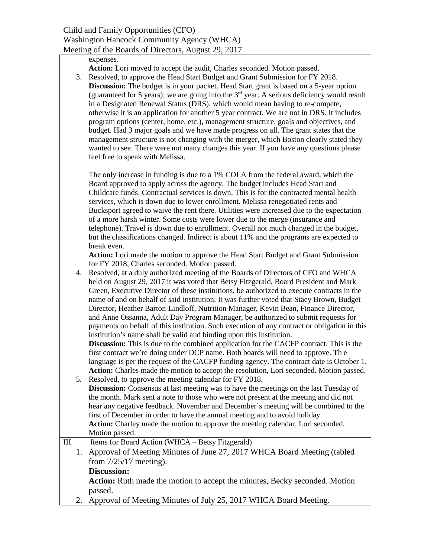#### expenses.

- **Action:** Lori moved to accept the audit, Charles seconded. Motion passed.
- 3. Resolved, to approve the Head Start Budget and Grant Submission for FY 2018. **Discussion:** The budget is in your packet. Head Start grant is based on a 5-year option (guaranteed for 5 years); we are going into the  $3<sup>rd</sup>$  year. A serious deficiency would result in a Designated Renewal Status (DRS), which would mean having to re-compete, otherwise it is an application for another 5 year contract. We are not in DRS. It includes program options (center, home, etc.), management structure, goals and objectives, and budget. Had 3 major goals and we have made progress on all. The grant states that the management structure is not changing with the merger, which Boston clearly stated they wanted to see. There were not many changes this year. If you have any questions please feel free to speak with Melissa.

The only increase in funding is due to a 1% COLA from the federal award, which the Board approved to apply across the agency. The budget includes Head Start and Childcare funds. Contractual services is down. This is for the contracted mental health services, which is down due to lower enrollment. Melissa renegotiated rents and Bucksport agreed to waive the rent there. Utilities were increased due to the expectation of a more harsh winter. Some costs were lower due to the merge (insurance and telephone). Travel is down due to enrollment. Overall not much changed in the budget, but the classifications changed. Indirect is about 11% and the programs are expected to break even.

**Action:** Lori made the motion to approve the Head Start Budget and Grant Submission for FY 2018, Charles seconded. Motion passed.

4. Resolved, at a duly authorized meeting of the Boards of Directors of CFO and WHCA held on August 29, 2017 it was voted that Betsy Fitzgerald, Board President and Mark Green, Executive Director of these institutions, be authorized to execute contracts in the name of and on behalf of said institution. It was further voted that Stacy Brown, Budget Director, Heather Barton-Lindloff, Nutrition Manager, Kevin Bean, Finance Director, and Anne Ossanna, Adult Day Program Manager, be authorized to submit requests for payments on behalf of this institution. Such execution of any contract or obligation in this institution's name shall be valid and binding upon this institution.

**Discussion:** This is due to the combined application for the CACFP contract. This is the first contract we're doing under DCP name. Both boards will need to approve. Th e language is per the request of the CACFP funding agency. The contract date is October 1. **Action:** Charles made the motion to accept the resolution, Lori seconded. Motion passed.

- 5. Resolved, to approve the meeting calendar for FY 2018. **Discussion:** Consensus at last meeting was to have the meetings on the last Tuesday of the month. Mark sent a note to those who were not present at the meeting and did not hear any negative feedback. November and December's meeting will be combined to the first of December in order to have the annual meeting and to avoid holiday **Action:** Charley made the motion to approve the meeting calendar, Lori seconded. Motion passed.
- III. Items for Board Action (WHCA Betsy Fitzgerald)
	- 1. Approval of Meeting Minutes of June 27, 2017 WHCA Board Meeting (tabled from 7/25/17 meeting).

### **Discussion:**

**Action:** Ruth made the motion to accept the minutes, Becky seconded. Motion passed.

2. Approval of Meeting Minutes of July 25, 2017 WHCA Board Meeting.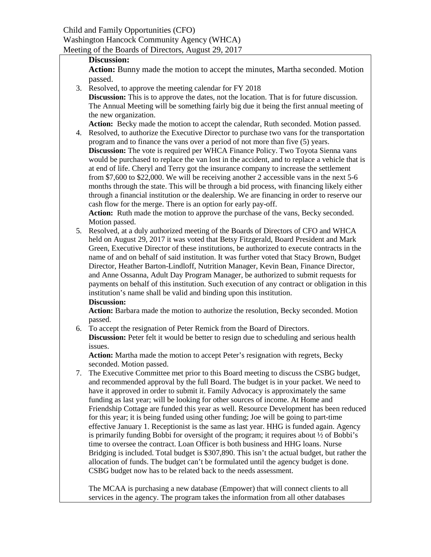## **Discussion:**

Action: Bunny made the motion to accept the minutes, Martha seconded. Motion passed.

3. Resolved, to approve the meeting calendar for FY 2018

**Discussion:** This is to approve the dates, not the location. That is for future discussion. The Annual Meeting will be something fairly big due it being the first annual meeting of the new organization.

**Action:** Becky made the motion to accept the calendar, Ruth seconded. Motion passed.

4. Resolved, to authorize the Executive Director to purchase two vans for the transportation program and to finance the vans over a period of not more than five (5) years. **Discussion:** The vote is required per WHCA Finance Policy. Two Toyota Sienna vans would be purchased to replace the van lost in the accident, and to replace a vehicle that is at end of life. Cheryl and Terry got the insurance company to increase the settlement from \$7,600 to \$22,000. We will be receiving another 2 accessible vans in the next 5-6 months through the state. This will be through a bid process, with financing likely either through a financial institution or the dealership. We are financing in order to reserve our cash flow for the merge. There is an option for early pay-off.

Action: Ruth made the motion to approve the purchase of the vans, Becky seconded. Motion passed.

5. Resolved, at a duly authorized meeting of the Boards of Directors of CFO and WHCA held on August 29, 2017 it was voted that Betsy Fitzgerald, Board President and Mark Green, Executive Director of these institutions, be authorized to execute contracts in the name of and on behalf of said institution. It was further voted that Stacy Brown, Budget Director, Heather Barton-Lindloff, Nutrition Manager, Kevin Bean, Finance Director, and Anne Ossanna, Adult Day Program Manager, be authorized to submit requests for payments on behalf of this institution. Such execution of any contract or obligation in this institution's name shall be valid and binding upon this institution. **Discussion:**

**Action:** Barbara made the motion to authorize the resolution, Becky seconded. Motion passed.

6. To accept the resignation of Peter Remick from the Board of Directors. **Discussion:** Peter felt it would be better to resign due to scheduling and serious health issues.

**Action:** Martha made the motion to accept Peter's resignation with regrets, Becky seconded. Motion passed.

7. The Executive Committee met prior to this Board meeting to discuss the CSBG budget, and recommended approval by the full Board. The budget is in your packet. We need to have it approved in order to submit it. Family Advocacy is approximately the same funding as last year; will be looking for other sources of income. At Home and Friendship Cottage are funded this year as well. Resource Development has been reduced for this year; it is being funded using other funding; Joe will be going to part-time effective January 1. Receptionist is the same as last year. HHG is funded again. Agency is primarily funding Bobbi for oversight of the program; it requires about ½ of Bobbi's time to oversee the contract. Loan Officer is both business and HHG loans. Nurse Bridging is included. Total budget is \$307,890. This isn't the actual budget, but rather the allocation of funds. The budget can't be formulated until the agency budget is done. CSBG budget now has to be related back to the needs assessment.

The MCAA is purchasing a new database (Empower) that will connect clients to all services in the agency. The program takes the information from all other databases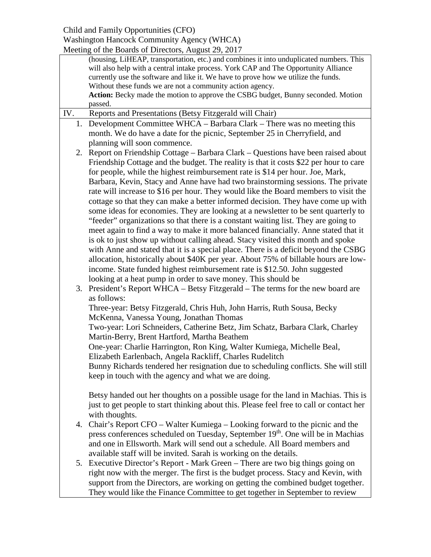# Child and Family Opportunities (CFO)

# Washington Hancock Community Agency (WHCA)

|     | Meeting of the Boards of Directors, August 29, 2017                                      |  |  |
|-----|------------------------------------------------------------------------------------------|--|--|
|     | (housing, LiHEAP, transportation, etc.) and combines it into unduplicated numbers. This  |  |  |
|     | will also help with a central intake process. York CAP and The Opportunity Alliance      |  |  |
|     | currently use the software and like it. We have to prove how we utilize the funds.       |  |  |
|     | Without these funds we are not a community action agency.                                |  |  |
|     | Action: Becky made the motion to approve the CSBG budget, Bunny seconded. Motion         |  |  |
|     | passed.                                                                                  |  |  |
| IV. | Reports and Presentations (Betsy Fitzgerald will Chair)                                  |  |  |
|     | 1. Development Committee WHCA - Barbara Clark - There was no meeting this                |  |  |
|     | month. We do have a date for the picnic, September 25 in Cherryfield, and                |  |  |
|     | planning will soon commence.                                                             |  |  |
|     |                                                                                          |  |  |
|     | 2. Report on Friendship Cottage – Barbara Clark – Questions have been raised about       |  |  |
|     | Friendship Cottage and the budget. The reality is that it costs \$22 per hour to care    |  |  |
|     | for people, while the highest reimbursement rate is \$14 per hour. Joe, Mark,            |  |  |
|     | Barbara, Kevin, Stacy and Anne have had two brainstorming sessions. The private          |  |  |
|     | rate will increase to \$16 per hour. They would like the Board members to visit the      |  |  |
|     | cottage so that they can make a better informed decision. They have come up with         |  |  |
|     | some ideas for economies. They are looking at a newsletter to be sent quarterly to       |  |  |
|     | "feeder" organizations so that there is a constant waiting list. They are going to       |  |  |
|     | meet again to find a way to make it more balanced financially. Anne stated that it       |  |  |
|     | is ok to just show up without calling ahead. Stacy visited this month and spoke          |  |  |
|     |                                                                                          |  |  |
|     | with Anne and stated that it is a special place. There is a deficit beyond the CSBG      |  |  |
|     | allocation, historically about \$40K per year. About 75% of billable hours are low-      |  |  |
|     | income. State funded highest reimbursement rate is \$12.50. John suggested               |  |  |
|     | looking at a heat pump in order to save money. This should be                            |  |  |
|     | 3. President's Report WHCA – Betsy Fitzgerald – The terms for the new board are          |  |  |
|     | as follows:                                                                              |  |  |
|     | Three-year: Betsy Fitzgerald, Chris Huh, John Harris, Ruth Sousa, Becky                  |  |  |
|     | McKenna, Vanessa Young, Jonathan Thomas                                                  |  |  |
|     | Two-year: Lori Schneiders, Catherine Betz, Jim Schatz, Barbara Clark, Charley            |  |  |
|     | Martin-Berry, Brent Hartford, Martha Beathem                                             |  |  |
|     | One-year: Charlie Harrington, Ron King, Walter Kumiega, Michelle Beal,                   |  |  |
|     |                                                                                          |  |  |
|     | Elizabeth Earlenbach, Angela Rackliff, Charles Rudelitch                                 |  |  |
|     | Bunny Richards tendered her resignation due to scheduling conflicts. She will still      |  |  |
|     | keep in touch with the agency and what we are doing.                                     |  |  |
|     |                                                                                          |  |  |
|     | Betsy handed out her thoughts on a possible usage for the land in Machias. This is       |  |  |
|     | just to get people to start thinking about this. Please feel free to call or contact her |  |  |
|     | with thoughts.                                                                           |  |  |
|     | 4. Chair's Report CFO – Walter Kumiega – Looking forward to the picnic and the           |  |  |
|     | press conferences scheduled on Tuesday, September 19th. One will be in Machias           |  |  |
|     | and one in Ellsworth. Mark will send out a schedule. All Board members and               |  |  |
|     | available staff will be invited. Sarah is working on the details.                        |  |  |
|     | 5. Executive Director's Report - Mark Green - There are two big things going on          |  |  |
|     |                                                                                          |  |  |
|     | right now with the merger. The first is the budget process. Stacy and Kevin, with        |  |  |

support from the Directors, are working on getting the combined budget together. They would like the Finance Committee to get together in September to review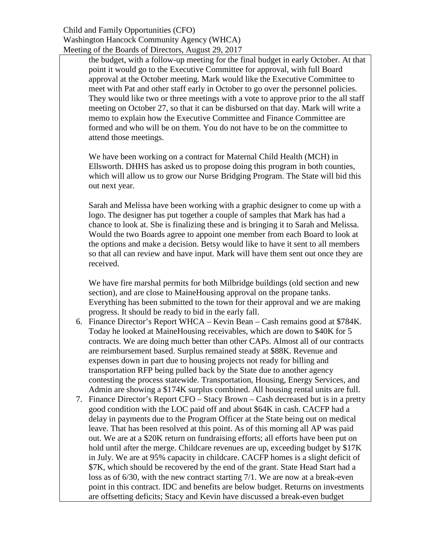## Child and Family Opportunities (CFO) Washington Hancock Community Agency (WHCA) Meeting of the Boards of Directors, August 29, 2017

the budget, with a follow-up meeting for the final budget in early October. At that point it would go to the Executive Committee for approval, with full Board approval at the October meeting. Mark would like the Executive Committee to meet with Pat and other staff early in October to go over the personnel policies. They would like two or three meetings with a vote to approve prior to the all staff meeting on October 27, so that it can be disbursed on that day. Mark will write a memo to explain how the Executive Committee and Finance Committee are formed and who will be on them. You do not have to be on the committee to attend those meetings.

We have been working on a contract for Maternal Child Health (MCH) in Ellsworth. DHHS has asked us to propose doing this program in both counties, which will allow us to grow our Nurse Bridging Program. The State will bid this out next year.

Sarah and Melissa have been working with a graphic designer to come up with a logo. The designer has put together a couple of samples that Mark has had a chance to look at. She is finalizing these and is bringing it to Sarah and Melissa. Would the two Boards agree to appoint one member from each Board to look at the options and make a decision. Betsy would like to have it sent to all members so that all can review and have input. Mark will have them sent out once they are received.

We have fire marshal permits for both Milbridge buildings (old section and new section), and are close to MaineHousing approval on the propane tanks. Everything has been submitted to the town for their approval and we are making progress. It should be ready to bid in the early fall.

- 6. Finance Director's Report WHCA Kevin Bean Cash remains good at \$784K. Today he looked at MaineHousing receivables, which are down to \$40K for 5 contracts. We are doing much better than other CAPs. Almost all of our contracts are reimbursement based. Surplus remained steady at \$88K. Revenue and expenses down in part due to housing projects not ready for billing and transportation RFP being pulled back by the State due to another agency contesting the process statewide. Transportation, Housing, Energy Services, and Admin are showing a \$174K surplus combined. All housing rental units are full.
- 7. Finance Director's Report CFO Stacy Brown Cash decreased but is in a pretty good condition with the LOC paid off and about \$64K in cash. CACFP had a delay in payments due to the Program Officer at the State being out on medical leave. That has been resolved at this point. As of this morning all AP was paid out. We are at a \$20K return on fundraising efforts; all efforts have been put on hold until after the merge. Childcare revenues are up, exceeding budget by \$17K in July. We are at 95% capacity in childcare. CACFP homes is a slight deficit of \$7K, which should be recovered by the end of the grant. State Head Start had a loss as of 6/30, with the new contract starting 7/1. We are now at a break-even point in this contract. IDC and benefits are below budget. Returns on investments are offsetting deficits; Stacy and Kevin have discussed a break-even budget